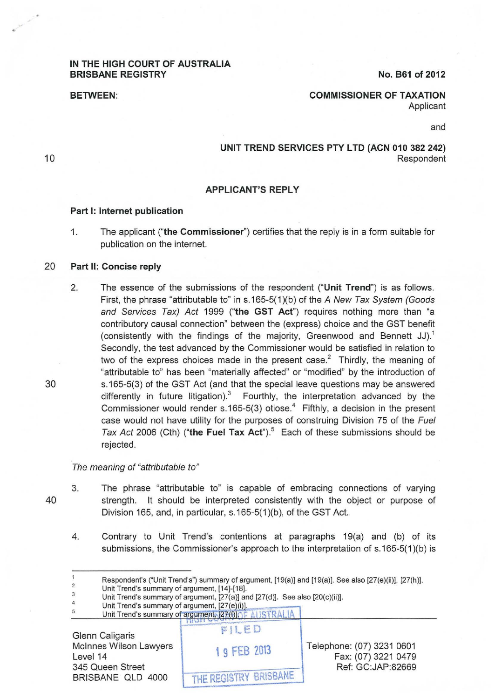### IN THE HIGH COURT OF AUSTRALIA BRISBANE REGISTRY

No. B61 of 2012

BETWEEN:

COMMISSIONER OF TAXATION Applicant

and

### UNIT TREND SERVICES PTY LTD (ACN 010 382 242) Respondent

### APPLICANT'S REPLY

#### Part 1: Internet publication

1. The applicant ("the Commissioner") certifies that the reply is in a form suitable for publication on the internet.

### 20 Part II: Concise reply

2. The essence of the submissions of the respondent ("Unit Trend") is as follows. First, the phrase "attributable to" in s.165-5(1)(b) of the A New Tax System (Goods and Services Tax) Act 1999 ("the GST Act") requires nothing more than "a contributory causal connection" between the (express) choice and the GST benefit (consistently with the findings of the majority, Greenwood and Bennett JJ).<sup>1</sup> Secondly, the test advanced by the Commissioner would be satisfied in relation to two of the express choices made in the present case.<sup>2</sup> Thirdly, the meaning of "attributable to" has been "materially affected" or "modified" by the introduction of s.165-5(3) of the GST Act (and that the special leave questions may be answered differently in future litigation). $3$  Fourthly, the interpretation advanced by the Commissioner would render s.165-5(3) otiose.<sup>4</sup> Fifthly, a decision in the present case would not have utility for the purposes of construing Division 75 of the Fuel Tax Act 2006 (Cth) ("the Fuel Tax Act"). $5$  Each of these submissions should be rejected.

#### The meaning of "attributable to"

- 40
- 3. The phrase "attributable to" is capable of embracing connections of varying strength. It should be interpreted consistently with the object or purpose of Division 165, and, in particular, s.165-5(1)(b), of the GST Act.
	- 4. Contrary to Unit Trend's contentions at paragraphs 19(a) and (b) of its submissions, the Commissioner's approach to the interpretation of s.165-5(1)(b) is

3 Unit Trend's summary of argument, [14]-[18].

5 Unit Trend's summary of argument, [27(e)(i)]. Unit Trend's summary of argument, [27(f)] TE AUSTRALIA

Glenn Caligaris Mcinnes Wilson Lawyers Level 14 345 Queen Street BRISBANE OLD 4000

 $EILED$ Telephone: (07) 3231 0601 1 9 FEB 2013 Fax: (07) 3221 0479 Ref: GC:JAP:82669 THE REGISTRY BRISBANE

30

<sup>1</sup>  2 Respondent's ("Unit Trend's") summary of argument, [19(a)] and [19(a)]. See also [27(e)(ii)], [27(h)].

<sup>4</sup>  Unit Trend's summary of argument, [27(a)] and [27(d)]. See also [20(c)(ii)].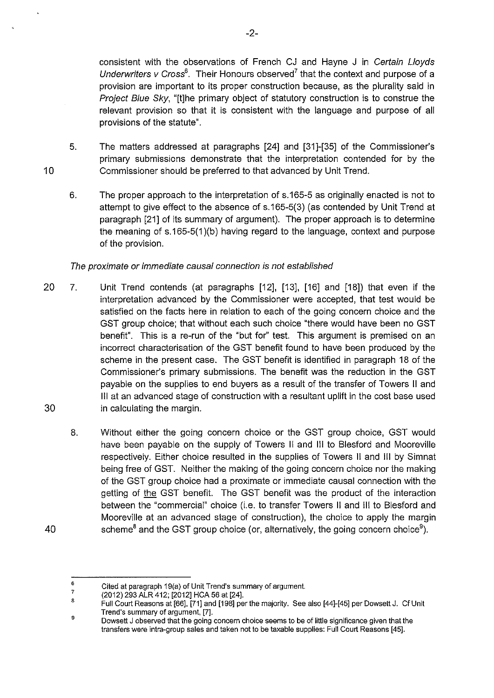consistent with the observations of French CJ and Hayne J in Certain L/oyds Underwriters v Cross $^6$ . Their Honours observed<sup>7</sup> that the context and purpose of a provision are important to its proper construction because, as the plurality said in Project Blue Sky, "[t]he primary object of statutory construction is to construe the relevant provision so that it is consistent with the language and purpose of all provisions of the statute".

- 5. The matters addressed at paragraphs [24] and [31]-[35] of the Commissioner's primary submissions demonstrate that the interpretation contended for by the Commissioner should be preferred to that advanced by Unit Trend.
- 6. The proper approach to the interpretation of s.165-5 as originally enacted is not to attempt to give effect to the absence of s.165-5(3) (as contended by Unit Trend at paragraph [21] of its summary of argument). The proper approach is to determine the meaning of s.165-5(1)(b) having regard to the language, context and purpose of the provision.

## The proximate or immediate causal connection is not established

10

- 20 7. Unit Trend contends (at paragraphs [12], [13], [16] and [18]) that even if the interpretation advanced by the Commissioner were accepted, that test would be satisfied on the facts here in relation to each of the going concern choice and the GST group choice; that without each such choice "there would have been no GST benefit". This is a re-run of the "but for" test. This argument is premised on an incorrect characterisation of the GST benefit found to have been produced by the scheme in the present case. The GST benefit is identified in paragraph 18 of the Commissioner's primary submissions. The benefit was the reduction in the GST payable on the supplies to end buyers as a result of the transfer of Towers II and Ill at an advanced stage of construction with a resultant uplift in the cost base used 30 in calculating the margin.
	- 8. Without either the going concern choice or the GST group choice, GST would have been payable on the supply of Towers II and Ill to Blesford and Mooreville respectively. Either choice resulted in the supplies of Towers II and Ill by Simnat being free of GST. Neither the making of the going concern choice nor the making of the GST group choice had a proximate or immediate causal connection with the getting of the GST benefit. The GST benefit was the product of the interaction between the "commercial" choice (i.e. to transfer Towers II and Ill to Blesford and Mooreville at an advanced stage of construction), the choice to apply the margin scheme<sup>8</sup> and the GST group choice (or, alternatively, the going concern choice<sup>9</sup>).

<sup>6</sup>  7 Cited at paragraph 19(a) of Unit Trend's summary of argument.

<sup>8</sup>  (2012) 293 ALR 412; [2012] HCA 56 at [24].

<sup>9</sup>  Full Court Reasons at [66], [71] and [198] per the majority. See also [44]-[45] per Dowsett J. Cf Unit Trend's summary of argument, [7].

Dowsett J observed that the going concern choice seems to be of little significance given that the transfers were intra-group sales and taken not to be taxable supplies: Full Court Reasons [45].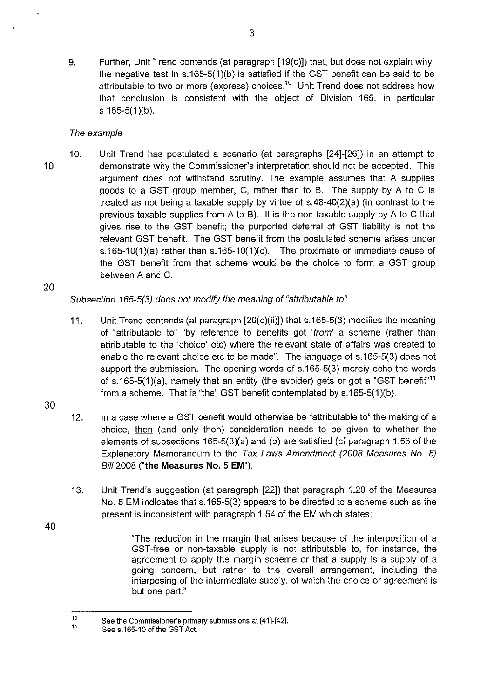9. Further, Unit Trend contends (at paragraph [19(c)]) that, but does not explain why, the negative test in s.165-5(1)(b) is satisfied if the GST benefit can be said to be attributable to two or more (express) choices.<sup>10</sup> Unit Trend does not address how that conclusion is consistent with the object of Division 165, in particular s 165-5(1)(b).

# The example

10 10. Unit Trend has postulated a scenario (at paragraphs [24]-[26]) in an attempt to demonstrate why the Commissioner's interpretation should not be accepted. This argument does not withstand scrutiny. The example assumes that A supplies goods to a GST group member, C, rather than to B. The supply by A to C is treated as not being a taxable supply by virtue of s.48-40(2)(a) (in contrast to the previous taxable supplies from A to B). It is the non-taxable supply by A to C that gives rise to the GST benefit; the purported deferral of GST liability is not the relevant GST benefit. The GST benefit from the postulated scheme arises under s.165-10(1)(a) rather than s.165-10(1)(c). The proximate or immediate cause of the GST benefit from that scheme would be the choice to form a GST group between A and C.

20

# Subsection 165-5(3) does not modify the meaning of "attributable to"

- 11. Unit Trend contends (at paragraph [20(c)(ii)]) that s.165-5(3) modifies the meaning of "attributable to" "by reference to benefits got 'from' a scheme (rather than attributable to the 'choice' etc) where the relevant state of affairs was created to enable the relevant choice etc to be made". The language of s.165-5(3) does not support the submission. The opening words of s.165-5(3) merely echo the words of s.165-5(1)(a), namely that an entity (the avoider) gets or got a "GST benefit"<sup>11</sup> from a scheme. That is "the" GST benefit contemplated by s.165-5(1)(b).
- 30

- 12. In a case where a GST benefit would otherwise be "attributable to" the making of a choice, then (and only then) consideration needs to be given to whether the elements of subsections 165-5(3)(a) and (b) are satisfied (cf paragraph 1.56 of the Explanatory Memorandum to the Tax Laws Amendment (2008 Measures No. 5) Bill 2008 **("the Measures No. 5 EM").**
- 13. Unit Trend's suggestion (at paragraph [22]) that paragraph 1.20 of the Measures No. 5 EM indicates that s.165-5(3) appears to be directed to a scheme such as the present is inconsistent with paragraph 1.54 of the EM which states:
	- "The reduction in the margin that arises because of the interposition of a GST -free or non-taxable supply is not attributable to, for instance, the agreement to apply the margin scheme or that a supply is a supply of a going concern, but rather to the overall arrangement, including the interposing of the intermediate supply, of which the choice or agreement is but one part."

<sup>10</sup>  11 See the Commissioner's primary submissions at [41]-[42].

See s.165-10 of the GST Act.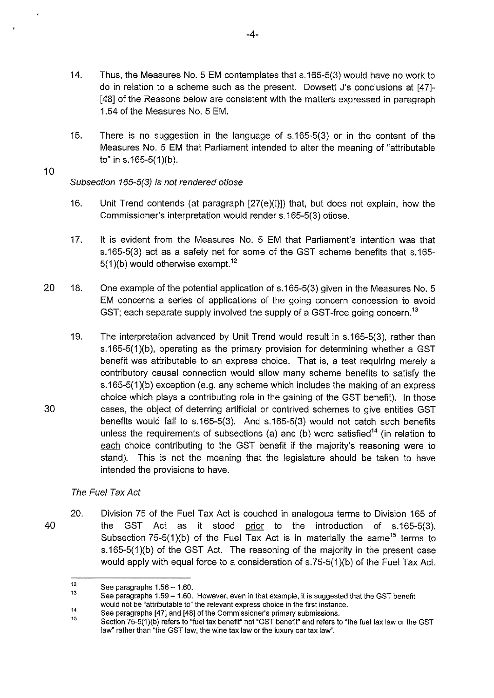- 14. Thus, the Measures No.5 EM contemplates that s.165-5(3) would have no work to do in relation to a scheme such as the present. Dowsett J's conclusions at [47]- [48] of the Reasons below are consistent with the matters expressed in paragraph 1.54 of the Measures No. 5 EM.
- 15. There is no suggestion in the language of s.165-5(3) or in the content of the Measures No. 5 EM that Parliament intended to alter the meaning of "attributable to" in s.165-5 $(1)(b)$ .

### 10

30

## Subsection 165-5(3) is not rendered otiose

- 16. Unit Trend contends (at paragraph [27(e)(i)]) that, but does not explain, how the Commissioner's interpretation would render s.165-5(3) otiose.
- 17. It is evident from the Measures No. 5 EM that Parliament's intention was that s.165-5(3) act as a safety net for some of the GST scheme benefits that s.165-  $5(1)(b)$  would otherwise exempt.<sup>12</sup>
- 20 18. One example of the potential application of s.165-5(3) given in the Measures No. 5 EM concerns a series of applications of the going concern concession to avoid GST; each separate supply involved the supply of a GST-free going concern.<sup>13</sup>
	- 19. The interpretation advanced by Unit Trend would result in s.165-5(3), rather than s.165-5(1)(b), operating as the primary provision for determining whether a GST benefit was attributable to an express choice. That is, a test requiring merely a contributory causal connection would allow many scheme benefits to satisfy the s.165-5(1 )(b) exception (e.g. any scheme which includes the making of an express choice which plays a contributing role in the gaining of the GST benefit). In those cases, the object of deterring artificial or contrived schemes to give entities GST benefits would fall to s.165-5(3). And s.165-5(3) would not catch such benefits unless the requirements of subsections (a) and (b) were satisfied<sup>14</sup> (in relation to each choice contributing to the GST benefit if the majority's reasoning were to stand). This is not the meaning that the legislature should be taken to have intended the provisions to have.

# The Fuel Tax Act

40 20. Division 75 of the Fuel Tax Act is couched in analogous terms to Division 165 of the GST Act as it stood prior to the introduction of s.165-5(3). Subsection 75-5(1)(b) of the Fuel Tax Act is in materially the same<sup>15</sup> terms to s.165-5(1)(b) of the GST Act. The reasoning of the majority in the present case would apply with equal force to a consideration of s.75-5(1)(b) of the Fuel Tax Act.

<sup>12</sup>  See paragraphs 1.56 - 1.60.

<sup>13</sup>  See paragraphs 1.59- 1.60. However, even in that example, it is suggested that the GST benefit would not be "attributable to" the relevant express choice in the first instance.

<sup>14</sup>  See paragraphs [47] and [48] of the Commissioner's primary submissions.

<sup>15</sup>  Section 75-5(1 )(b) refers to "fuel tax benefit" not "GST benefit" and refers to "the fuel tax law or the GST law" rather than "the GST law, the wine tax law or the luxury car tax law".